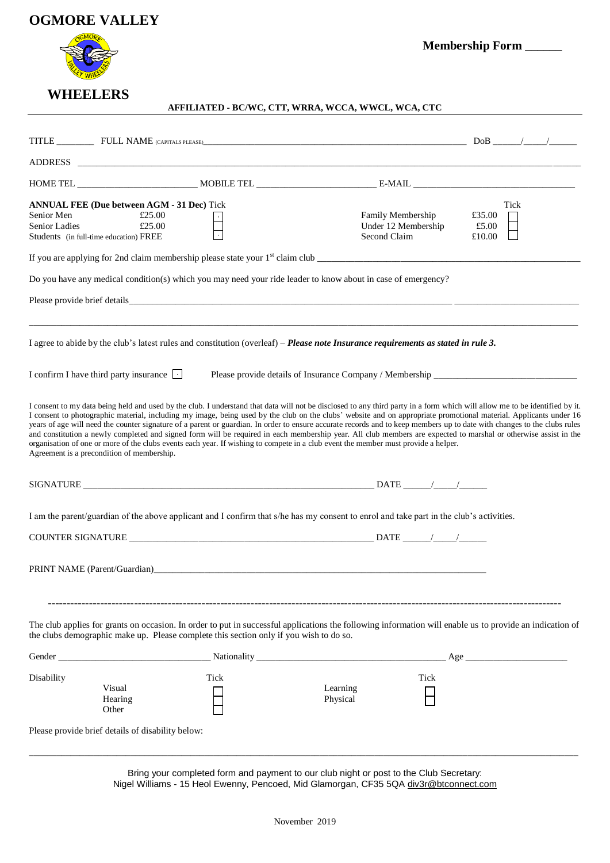# **OGMORE VALLEY**



 **WHEELERS**

**Membership Form \_\_\_\_\_\_**

# **AFFILIATED - BC/WC, CTT, WRRA, WCCA, WWCL, WCA, CTC**

| ADDRESS AND AREA AND THE SERVICE OF THE SERVICE OF THE SERVICE OF THE SERVICE OF THE SERVICE OF THE SERVICE OF                                                                                                                                                                                                                                                                                                                                                                                                                                                                                                                                                                                                                                                                                                                                                                       |      |                                                                                  |                                   |
|--------------------------------------------------------------------------------------------------------------------------------------------------------------------------------------------------------------------------------------------------------------------------------------------------------------------------------------------------------------------------------------------------------------------------------------------------------------------------------------------------------------------------------------------------------------------------------------------------------------------------------------------------------------------------------------------------------------------------------------------------------------------------------------------------------------------------------------------------------------------------------------|------|----------------------------------------------------------------------------------|-----------------------------------|
|                                                                                                                                                                                                                                                                                                                                                                                                                                                                                                                                                                                                                                                                                                                                                                                                                                                                                      |      |                                                                                  |                                   |
| <b>ANNUAL FEE (Due between AGM - 31 Dec)</b> Tick<br>£25.00<br>Senior Men<br>£25.00<br><b>Senior Ladies</b><br>Students (in full-time education) FREE                                                                                                                                                                                                                                                                                                                                                                                                                                                                                                                                                                                                                                                                                                                                |      | Family Membership<br>Under 12 Membership<br>Second Claim                         | Tick<br>£35.00<br>£5.00<br>£10.00 |
|                                                                                                                                                                                                                                                                                                                                                                                                                                                                                                                                                                                                                                                                                                                                                                                                                                                                                      |      |                                                                                  |                                   |
| Do you have any medical condition(s) which you may need your ride leader to know about in case of emergency?                                                                                                                                                                                                                                                                                                                                                                                                                                                                                                                                                                                                                                                                                                                                                                         |      |                                                                                  |                                   |
|                                                                                                                                                                                                                                                                                                                                                                                                                                                                                                                                                                                                                                                                                                                                                                                                                                                                                      |      |                                                                                  |                                   |
| I agree to abide by the club's latest rules and constitution (overleaf) - Please note Insurance requirements as stated in rule 3.                                                                                                                                                                                                                                                                                                                                                                                                                                                                                                                                                                                                                                                                                                                                                    |      |                                                                                  |                                   |
| I confirm I have third party insurance $\Box$                                                                                                                                                                                                                                                                                                                                                                                                                                                                                                                                                                                                                                                                                                                                                                                                                                        |      | Please provide details of Insurance Company / Membership _______________________ |                                   |
| I consent to my data being held and used by the club. I understand that data will not be disclosed to any third party in a form which will allow me to be identified by it.<br>I consent to photographic material, including my image, being used by the club on the clubs' website and on appropriate promotional material. Applicants under 16<br>years of age will need the counter signature of a parent or guardian. In order to ensure accurate records and to keep members up to date with changes to the clubs rules<br>and constitution a newly completed and signed form will be required in each membership year. All club members are expected to marshal or otherwise assist in the<br>organisation of one or more of the clubs events each year. If wishing to compete in a club event the member must provide a helper.<br>Agreement is a precondition of membership. |      |                                                                                  |                                   |
|                                                                                                                                                                                                                                                                                                                                                                                                                                                                                                                                                                                                                                                                                                                                                                                                                                                                                      |      |                                                                                  |                                   |
| I am the parent/guardian of the above applicant and I confirm that s/he has my consent to enrol and take part in the club's activities.                                                                                                                                                                                                                                                                                                                                                                                                                                                                                                                                                                                                                                                                                                                                              |      |                                                                                  |                                   |
|                                                                                                                                                                                                                                                                                                                                                                                                                                                                                                                                                                                                                                                                                                                                                                                                                                                                                      |      |                                                                                  |                                   |
|                                                                                                                                                                                                                                                                                                                                                                                                                                                                                                                                                                                                                                                                                                                                                                                                                                                                                      |      |                                                                                  |                                   |
| The club applies for grants on occasion. In order to put in successful applications the following information will enable us to provide an indication of<br>the clubs demographic make up. Please complete this section only if you wish to do so.<br>Gender                                                                                                                                                                                                                                                                                                                                                                                                                                                                                                                                                                                                                         |      |                                                                                  | Age                               |
| Disability                                                                                                                                                                                                                                                                                                                                                                                                                                                                                                                                                                                                                                                                                                                                                                                                                                                                           | Tick | Tick                                                                             |                                   |
| Visual<br>Hearing<br>Other                                                                                                                                                                                                                                                                                                                                                                                                                                                                                                                                                                                                                                                                                                                                                                                                                                                           |      | Learning<br>Physical                                                             |                                   |
| Please provide brief details of disability below:                                                                                                                                                                                                                                                                                                                                                                                                                                                                                                                                                                                                                                                                                                                                                                                                                                    |      |                                                                                  |                                   |

Bring your completed form and payment to our club night or post to the Club Secretary: Nigel Williams - 15 Heol Ewenny, Pencoed, Mid Glamorgan, CF35 5QA [div3r@btconnect.com](mailto:div3r@btconnect.com)